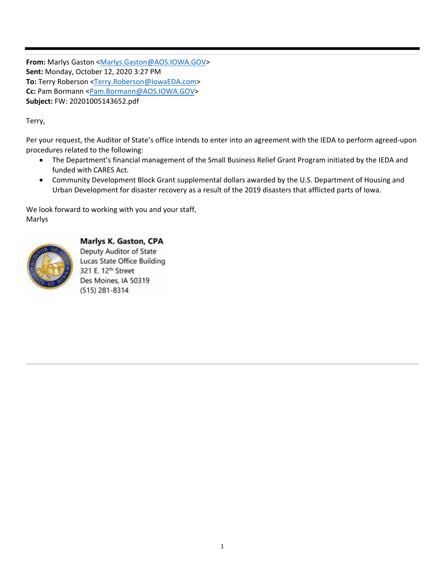From: Marlys Gaston <Marlys.Gaston@AOS.IOWA.GOV> **Sent:** Monday, October 12, 2020 3:27 PM **To:** Terry Roberson <Terry.Roberson@IowaEDA.com> **Cc:** Pam Bormann <Pam.Bormann@AOS.IOWA.GOV> **Subject:** FW: 20201005143652.pdf

Terry,

Per your request, the Auditor of State's office intends to enter into an agreement with the IEDA to perform agreed‐upon procedures related to the following:

- The Department's financial management of the Small Business Relief Grant Program initiated by the IEDA and funded with CARES Act.
- Community Development Block Grant supplemental dollars awarded by the U.S. Department of Housing and Urban Development for disaster recovery as a result of the 2019 disasters that afflicted parts of Iowa.

We look forward to working with you and your staff, Marlys



## Marlys K. Gaston, CPA

Deputy Auditor of State Lucas State Office Building 321 E. 12th Street Des Moines, IA 50319 (515) 281-8314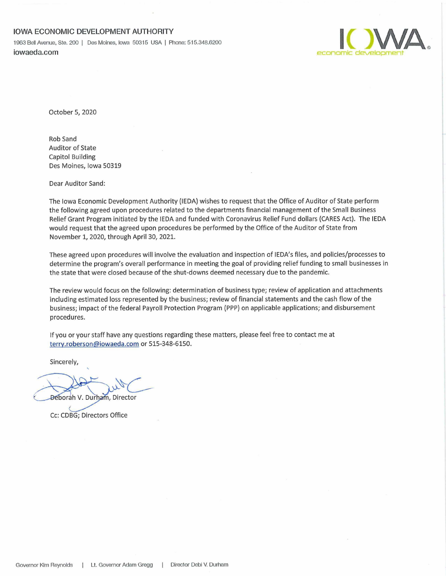## **IOWA ECONOMIC DEVELOPMENT AUTHORITY**

1963 Bell Avenue, Ste. 200 <sup>|</sup> Des Moines, Iowa 50315 USA <sup>|</sup> Phone; 515.348.6200 iowaeda.com economic development



October 5, 2020

Rob Sand Auditor of State Capitol Building Des Moines, Iowa 50319

Dear Auditor Sand:

The Iowa Economic Development Authority (IEDA) wishes to request that the Office of Auditor of State perform the following agreed upon procedures related to the departments financial management of the Small Business Relief Grant Program initiated by the IEDA and funded with Coronavirus Relief Fund dollars (CARES Act). The IEDA would request that the agreed upon procedures be performed by the Office of the Auditor of State from November 1, 2020, through April 30, 2021.

These agreed upon procedures will involve the evaluation and inspection of lEDA's files, and policies/processes to determine the program's overall performance in meeting the goal of providing relief funding to small businesses in the state that were closed because of the shut-downs deemed necessary due to the pandemic.

The review would focus on the following: determination of business type; review of application and attachments including estimated loss represented by the business; review of financial statements and the cash flow of the business; impact of the federal Payroll Protection Program (PPP) on applicable applications; and disbursement procedures.

If you or your staff have any questions regarding these matters, please feel free to contact me at terry.roberson@iowaeda.com or 515-348-6150.

Sincerely,

Deborah V. Durham, Director

Cc: CDBG; Directors Office